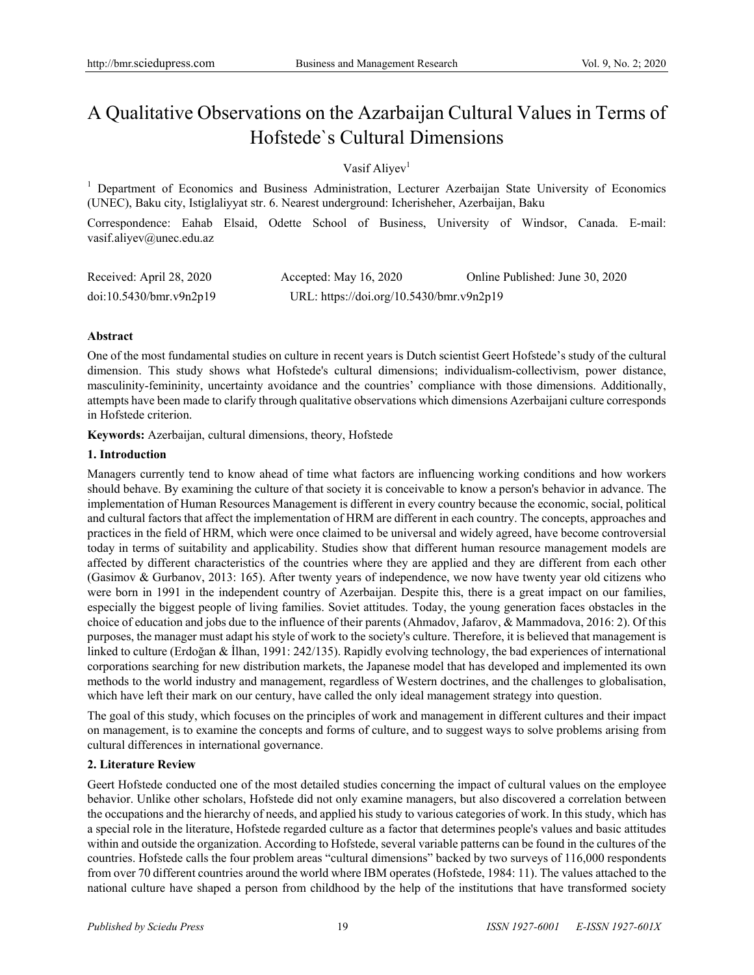# A Qualitative Observations on the Azarbaijan Cultural Values in Terms of Hofstede`s Cultural Dimensions

# Vasif Alivev $1$

<sup>1</sup> Department of Economics and Business Administration, Lecturer Azerbaijan State University of Economics (UNEC), Baku city, Istiglaliyyat str. 6. Nearest underground: Icherisheher, Azerbaijan, Baku

Correspondence: Eahab Elsaid, Odette School of Business, University of Windsor, Canada. E-mail: vasif.aliyev@unec.edu.az

| Received: April 28, 2020 | Accepted: May 16, 2020                   | Online Published: June 30, 2020 |
|--------------------------|------------------------------------------|---------------------------------|
| doi:10.5430/bmr.v9n2p19  | URL: https://doi.org/10.5430/bmr.v9n2p19 |                                 |

# **Abstract**

One of the most fundamental studies on culture in recent years is Dutch scientist Geert Hofstede's study of the cultural dimension. This study shows what Hofstede's cultural dimensions; individualism-collectivism, power distance, masculinity-femininity, uncertainty avoidance and the countries' compliance with those dimensions. Additionally, attempts have been made to clarify through qualitative observations which dimensions Azerbaijani culture corresponds in Hofstede criterion.

**Keywords:** Azerbaijan, cultural dimensions, theory, Hofstede

# **1. Introduction**

Managers currently tend to know ahead of time what factors are influencing working conditions and how workers should behave. By examining the culture of that society it is conceivable to know a person's behavior in advance. The implementation of Human Resources Management is different in every country because the economic, social, political and cultural factors that affect the implementation of HRM are different in each country. The concepts, approaches and practices in the field of HRM, which were once claimed to be universal and widely agreed, have become controversial today in terms of suitability and applicability. Studies show that different human resource management models are affected by different characteristics of the countries where they are applied and they are different from each other (Gasimov & Gurbanov, 2013: 165). After twenty years of independence, we now have twenty year old citizens who were born in 1991 in the independent country of Azerbaijan. Despite this, there is a great impact on our families, especially the biggest people of living families. Soviet attitudes. Today, the young generation faces obstacles in the choice of education and jobs due to the influence of their parents (Ahmadov, Jafarov, & Mammadova, 2016: 2). Of this purposes, the manager must adapt his style of work to the society's culture. Therefore, it is believed that management is linked to culture (Erdoğan & İlhan, 1991: 242/135). Rapidly evolving technology, the bad experiences of international corporations searching for new distribution markets, the Japanese model that has developed and implemented its own methods to the world industry and management, regardless of Western doctrines, and the challenges to globalisation, which have left their mark on our century, have called the only ideal management strategy into question.

The goal of this study, which focuses on the principles of work and management in different cultures and their impact on management, is to examine the concepts and forms of culture, and to suggest ways to solve problems arising from cultural differences in international governance.

# **2. Literature Review**

Geert Hofstede conducted one of the most detailed studies concerning the impact of cultural values on the employee behavior. Unlike other scholars, Hofstede did not only examine managers, but also discovered a correlation between the occupations and the hierarchy of needs, and applied his study to various categories of work. In this study, which has a special role in the literature, Hofstede regarded culture as a factor that determines people's values and basic attitudes within and outside the organization. According to Hofstede, several variable patterns can be found in the cultures of the countries. Hofstede calls the four problem areas "cultural dimensions" backed by two surveys of 116,000 respondents from over 70 different countries around the world where IBM operates (Hofstede, 1984: 11). The values attached to the national culture have shaped a person from childhood by the help of the institutions that have transformed society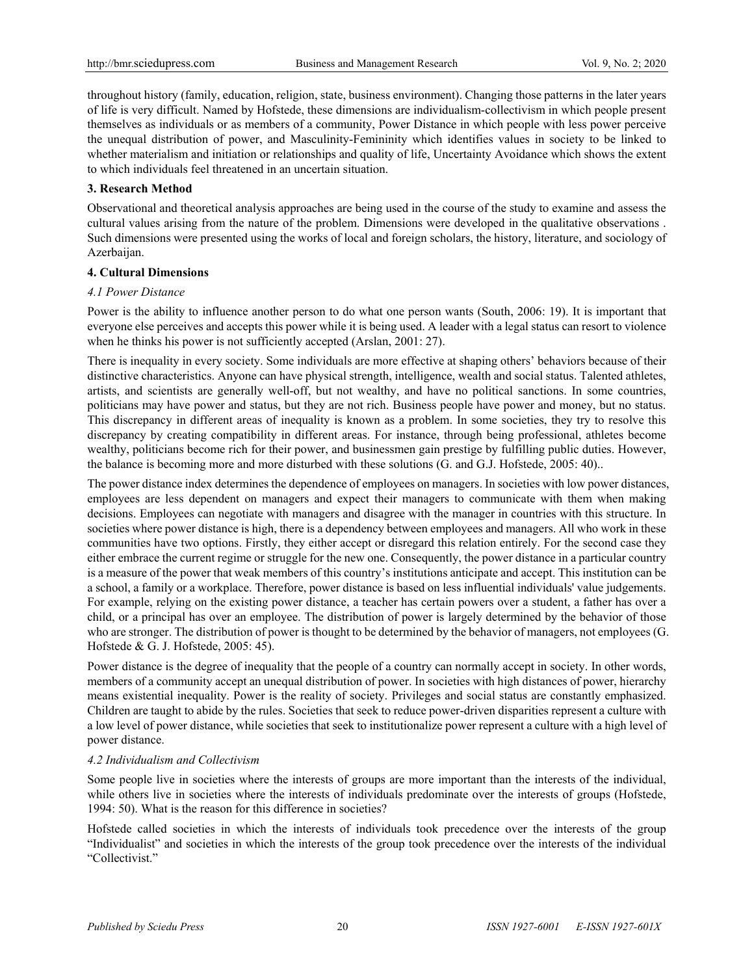throughout history (family, education, religion, state, business environment). Changing those patterns in the later years of life is very difficult. Named by Hofstede, these dimensions are individualism-collectivism in which people present themselves as individuals or as members of a community, Power Distance in which people with less power perceive the unequal distribution of power, and Masculinity-Femininity which identifies values in society to be linked to whether materialism and initiation or relationships and quality of life, Uncertainty Avoidance which shows the extent to which individuals feel threatened in an uncertain situation.

# **3. Research Method**

Observational and theoretical analysis approaches are being used in the course of the study to examine and assess the cultural values arising from the nature of the problem. Dimensions were developed in the qualitative observations . Such dimensions were presented using the works of local and foreign scholars, the history, literature, and sociology of Azerbaijan.

# **4. Cultural Dimensions**

# *4.1 Power Distance*

Power is the ability to influence another person to do what one person wants (South, 2006: 19). It is important that everyone else perceives and accepts this power while it is being used. A leader with a legal status can resort to violence when he thinks his power is not sufficiently accepted (Arslan, 2001: 27).

There is inequality in every society. Some individuals are more effective at shaping others' behaviors because of their distinctive characteristics. Anyone can have physical strength, intelligence, wealth and social status. Talented athletes, artists, and scientists are generally well-off, but not wealthy, and have no political sanctions. In some countries, politicians may have power and status, but they are not rich. Business people have power and money, but no status. This discrepancy in different areas of inequality is known as a problem. In some societies, they try to resolve this discrepancy by creating compatibility in different areas. For instance, through being professional, athletes become wealthy, politicians become rich for their power, and businessmen gain prestige by fulfilling public duties. However, the balance is becoming more and more disturbed with these solutions (G. and G.J. Hofstede, 2005: 40)..

The power distance index determines the dependence of employees on managers. In societies with low power distances, employees are less dependent on managers and expect their managers to communicate with them when making decisions. Employees can negotiate with managers and disagree with the manager in countries with this structure. In societies where power distance is high, there is a dependency between employees and managers. All who work in these communities have two options. Firstly, they either accept or disregard this relation entirely. For the second case they either embrace the current regime or struggle for the new one. Consequently, the power distance in a particular country is a measure of the power that weak members of this country's institutions anticipate and accept. This institution can be a school, a family or a workplace. Therefore, power distance is based on less influential individuals' value judgements. For example, relying on the existing power distance, a teacher has certain powers over a student, a father has over a child, or a principal has over an employee. The distribution of power is largely determined by the behavior of those who are stronger. The distribution of power is thought to be determined by the behavior of managers, not employees (G. Hofstede & G. J. Hofstede, 2005: 45).

Power distance is the degree of inequality that the people of a country can normally accept in society. In other words, members of a community accept an unequal distribution of power. In societies with high distances of power, hierarchy means existential inequality. Power is the reality of society. Privileges and social status are constantly emphasized. Children are taught to abide by the rules. Societies that seek to reduce power-driven disparities represent a culture with a low level of power distance, while societies that seek to institutionalize power represent a culture with a high level of power distance.

# *4.2 Individualism and Collectivism*

Some people live in societies where the interests of groups are more important than the interests of the individual, while others live in societies where the interests of individuals predominate over the interests of groups (Hofstede, 1994: 50). What is the reason for this difference in societies?

Hofstede called societies in which the interests of individuals took precedence over the interests of the group "Individualist" and societies in which the interests of the group took precedence over the interests of the individual "Collectivist."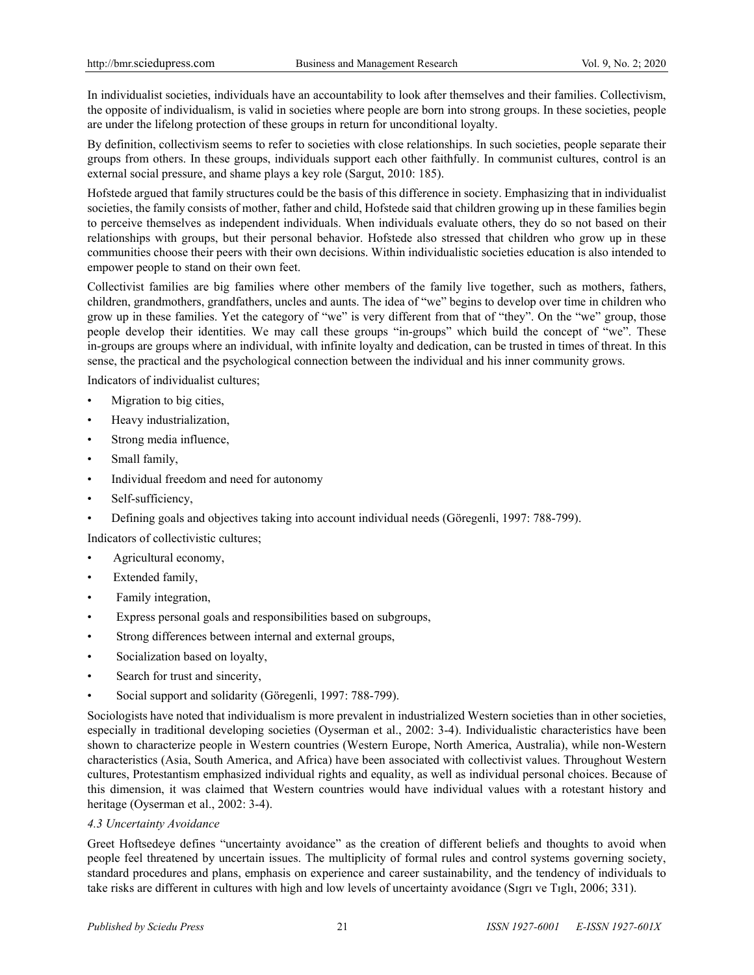In individualist societies, individuals have an accountability to look after themselves and their families. Collectivism, the opposite of individualism, is valid in societies where people are born into strong groups. In these societies, people are under the lifelong protection of these groups in return for unconditional loyalty.

By definition, collectivism seems to refer to societies with close relationships. In such societies, people separate their groups from others. In these groups, individuals support each other faithfully. In communist cultures, control is an external social pressure, and shame plays a key role (Sargut, 2010: 185).

Hofstede argued that family structures could be the basis of this difference in society. Emphasizing that in individualist societies, the family consists of mother, father and child, Hofstede said that children growing up in these families begin to perceive themselves as independent individuals. When individuals evaluate others, they do so not based on their relationships with groups, but their personal behavior. Hofstede also stressed that children who grow up in these communities choose their peers with their own decisions. Within individualistic societies education is also intended to empower people to stand on their own feet.

Collectivist families are big families where other members of the family live together, such as mothers, fathers, children, grandmothers, grandfathers, uncles and aunts. The idea of "we" begins to develop over time in children who grow up in these families. Yet the category of "we" is very different from that of "they". On the "we" group, those people develop their identities. We may call these groups "in-groups" which build the concept of "we". These in-groups are groups where an individual, with infinite loyalty and dedication, can be trusted in times of threat. In this sense, the practical and the psychological connection between the individual and his inner community grows.

Indicators of individualist cultures;

- Migration to big cities,
- Heavy industrialization,
- Strong media influence,
- Small family,
- Individual freedom and need for autonomy
- Self-sufficiency,
- Defining goals and objectives taking into account individual needs (Göregenli, 1997: 788-799).

Indicators of collectivistic cultures;

- Agricultural economy,
- Extended family,
- Family integration,
- Express personal goals and responsibilities based on subgroups,
- Strong differences between internal and external groups,
- Socialization based on loyalty,
- Search for trust and sincerity,
- Social support and solidarity (Göregenli, 1997: 788-799).

Sociologists have noted that individualism is more prevalent in industrialized Western societies than in other societies, especially in traditional developing societies (Oyserman et al., 2002: 3-4). Individualistic characteristics have been shown to characterize people in Western countries (Western Europe, North America, Australia), while non-Western characteristics (Asia, South America, and Africa) have been associated with collectivist values. Throughout Western cultures, Protestantism emphasized individual rights and equality, as well as individual personal choices. Because of this dimension, it was claimed that Western countries would have individual values with a rotestant history and heritage (Oyserman et al., 2002: 3-4).

# *4.3 Uncertainty Avoidance*

Greet Hoftsedeye defines "uncertainty avoidance" as the creation of different beliefs and thoughts to avoid when people feel threatened by uncertain issues. The multiplicity of formal rules and control systems governing society, standard procedures and plans, emphasis on experience and career sustainability, and the tendency of individuals to take risks are different in cultures with high and low levels of uncertainty avoidance (Sıgrı ve Tıglı, 2006; 331).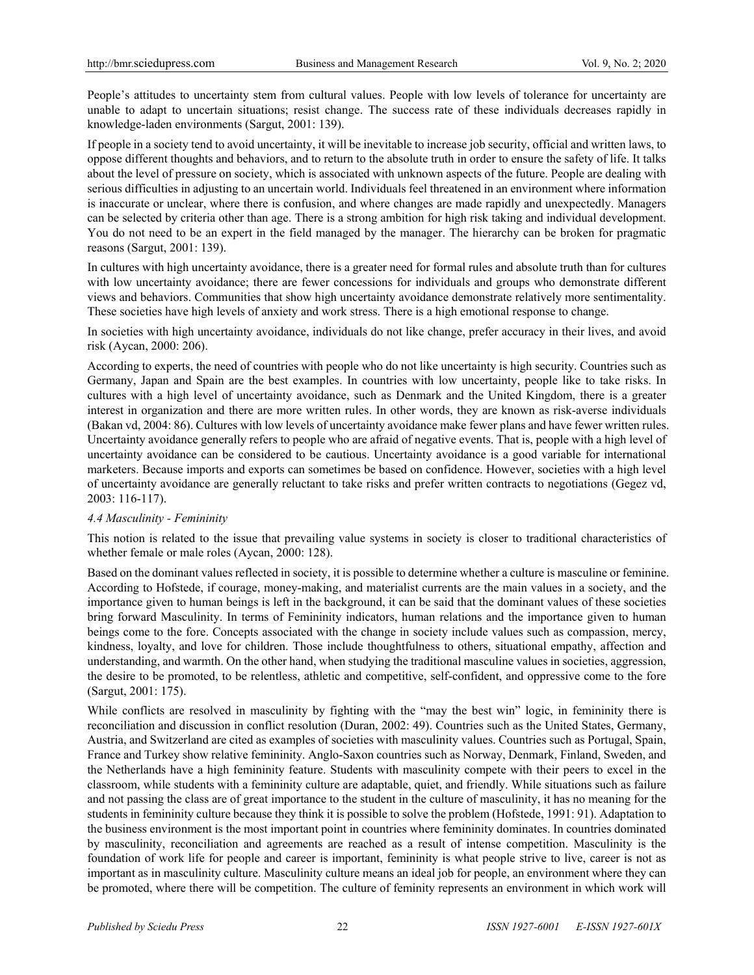People's attitudes to uncertainty stem from cultural values. People with low levels of tolerance for uncertainty are unable to adapt to uncertain situations; resist change. The success rate of these individuals decreases rapidly in knowledge-laden environments (Sargut, 2001: 139).

If people in a society tend to avoid uncertainty, it will be inevitable to increase job security, official and written laws, to oppose different thoughts and behaviors, and to return to the absolute truth in order to ensure the safety of life. It talks about the level of pressure on society, which is associated with unknown aspects of the future. People are dealing with serious difficulties in adjusting to an uncertain world. Individuals feel threatened in an environment where information is inaccurate or unclear, where there is confusion, and where changes are made rapidly and unexpectedly. Managers can be selected by criteria other than age. There is a strong ambition for high risk taking and individual development. You do not need to be an expert in the field managed by the manager. The hierarchy can be broken for pragmatic reasons (Sargut, 2001: 139).

In cultures with high uncertainty avoidance, there is a greater need for formal rules and absolute truth than for cultures with low uncertainty avoidance; there are fewer concessions for individuals and groups who demonstrate different views and behaviors. Communities that show high uncertainty avoidance demonstrate relatively more sentimentality. These societies have high levels of anxiety and work stress. There is a high emotional response to change.

In societies with high uncertainty avoidance, individuals do not like change, prefer accuracy in their lives, and avoid risk (Aycan, 2000: 206).

According to experts, the need of countries with people who do not like uncertainty is high security. Countries such as Germany, Japan and Spain are the best examples. In countries with low uncertainty, people like to take risks. In cultures with a high level of uncertainty avoidance, such as Denmark and the United Kingdom, there is a greater interest in organization and there are more written rules. In other words, they are known as risk-averse individuals (Bakan vd, 2004: 86). Cultures with low levels of uncertainty avoidance make fewer plans and have fewer written rules. Uncertainty avoidance generally refers to people who are afraid of negative events. That is, people with a high level of uncertainty avoidance can be considered to be cautious. Uncertainty avoidance is a good variable for international marketers. Because imports and exports can sometimes be based on confidence. However, societies with a high level of uncertainty avoidance are generally reluctant to take risks and prefer written contracts to negotiations (Gegez vd, 2003: 116-117).

#### *4.4 Masculinity - Femininity*

This notion is related to the issue that prevailing value systems in society is closer to traditional characteristics of whether female or male roles (Aycan, 2000: 128).

Based on the dominant values reflected in society, it is possible to determine whether a culture is masculine or feminine. According to Hofstede, if courage, money-making, and materialist currents are the main values in a society, and the importance given to human beings is left in the background, it can be said that the dominant values of these societies bring forward Masculinity. In terms of Femininity indicators, human relations and the importance given to human beings come to the fore. Concepts associated with the change in society include values such as compassion, mercy, kindness, loyalty, and love for children. Those include thoughtfulness to others, situational empathy, affection and understanding, and warmth. On the other hand, when studying the traditional masculine values in societies, aggression, the desire to be promoted, to be relentless, athletic and competitive, self-confident, and oppressive come to the fore (Sargut, 2001: 175).

While conflicts are resolved in masculinity by fighting with the "may the best win" logic, in femininity there is reconciliation and discussion in conflict resolution (Duran, 2002: 49). Countries such as the United States, Germany, Austria, and Switzerland are cited as examples of societies with masculinity values. Countries such as Portugal, Spain, France and Turkey show relative femininity. Anglo-Saxon countries such as Norway, Denmark, Finland, Sweden, and the Netherlands have a high femininity feature. Students with masculinity compete with their peers to excel in the classroom, while students with a femininity culture are adaptable, quiet, and friendly. While situations such as failure and not passing the class are of great importance to the student in the culture of masculinity, it has no meaning for the students in femininity culture because they think it is possible to solve the problem (Hofstede, 1991: 91). Adaptation to the business environment is the most important point in countries where femininity dominates. In countries dominated by masculinity, reconciliation and agreements are reached as a result of intense competition. Masculinity is the foundation of work life for people and career is important, femininity is what people strive to live, career is not as important as in masculinity culture. Masculinity culture means an ideal job for people, an environment where they can be promoted, where there will be competition. The culture of feminity represents an environment in which work will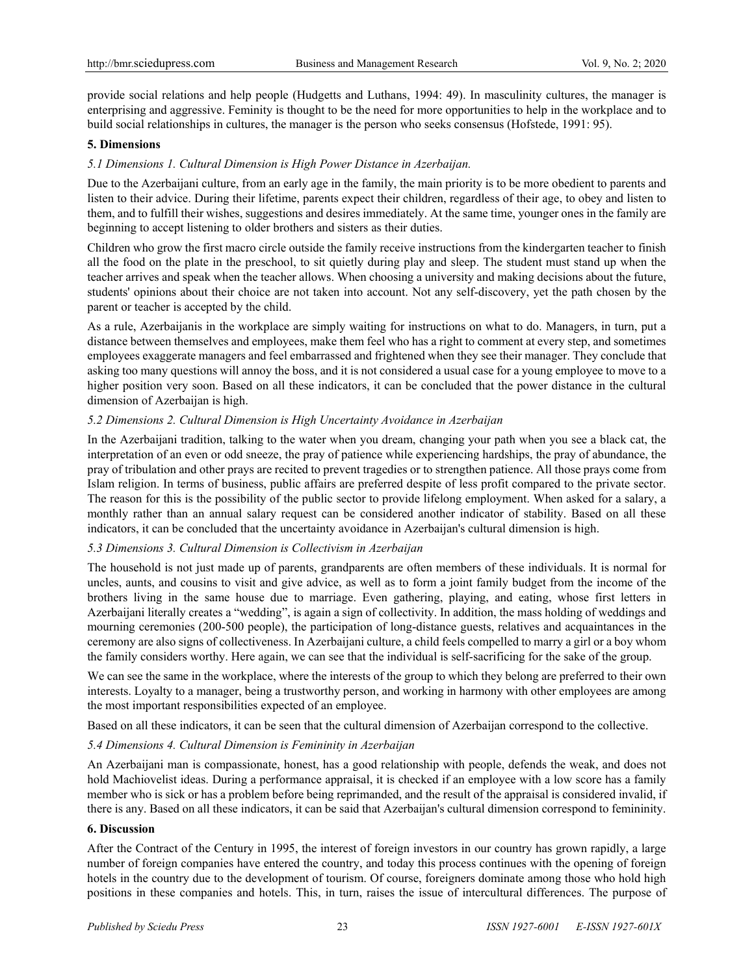provide social relations and help people (Hudgetts and Luthans, 1994: 49). In masculinity cultures, the manager is enterprising and aggressive. Feminity is thought to be the need for more opportunities to help in the workplace and to build social relationships in cultures, the manager is the person who seeks consensus (Hofstede, 1991: 95).

### **5. Dimensions**

# *5.1 Dimensions 1. Cultural Dimension is High Power Distance in Azerbaijan.*

Due to the Azerbaijani culture, from an early age in the family, the main priority is to be more obedient to parents and listen to their advice. During their lifetime, parents expect their children, regardless of their age, to obey and listen to them, and to fulfill their wishes, suggestions and desires immediately. At the same time, younger ones in the family are beginning to accept listening to older brothers and sisters as their duties.

Children who grow the first macro circle outside the family receive instructions from the kindergarten teacher to finish all the food on the plate in the preschool, to sit quietly during play and sleep. The student must stand up when the teacher arrives and speak when the teacher allows. When choosing a university and making decisions about the future, students' opinions about their choice are not taken into account. Not any self-discovery, yet the path chosen by the parent or teacher is accepted by the child.

As a rule, Azerbaijanis in the workplace are simply waiting for instructions on what to do. Managers, in turn, put a distance between themselves and employees, make them feel who has a right to comment at every step, and sometimes employees exaggerate managers and feel embarrassed and frightened when they see their manager. They conclude that asking too many questions will annoy the boss, and it is not considered a usual case for a young employee to move to a higher position very soon. Based on all these indicators, it can be concluded that the power distance in the cultural dimension of Azerbaijan is high.

#### *5.2 Dimensions 2. Cultural Dimension is High Uncertainty Avoidance in Azerbaijan*

In the Azerbaijani tradition, talking to the water when you dream, changing your path when you see a black cat, the interpretation of an even or odd sneeze, the pray of patience while experiencing hardships, the pray of abundance, the pray of tribulation and other prays are recited to prevent tragedies or to strengthen patience. All those prays come from Islam religion. In terms of business, public affairs are preferred despite of less profit compared to the private sector. The reason for this is the possibility of the public sector to provide lifelong employment. When asked for a salary, a monthly rather than an annual salary request can be considered another indicator of stability. Based on all these indicators, it can be concluded that the uncertainty avoidance in Azerbaijan's cultural dimension is high.

# *5.3 Dimensions 3. Cultural Dimension is Collectivism in Azerbaijan*

The household is not just made up of parents, grandparents are often members of these individuals. It is normal for uncles, aunts, and cousins to visit and give advice, as well as to form a joint family budget from the income of the brothers living in the same house due to marriage. Even gathering, playing, and eating, whose first letters in Azerbaijani literally creates a "wedding", is again a sign of collectivity. In addition, the mass holding of weddings and mourning ceremonies (200-500 people), the participation of long-distance guests, relatives and acquaintances in the ceremony are also signs of collectiveness. In Azerbaijani culture, a child feels compelled to marry a girl or a boy whom the family considers worthy. Here again, we can see that the individual is self-sacrificing for the sake of the group.

We can see the same in the workplace, where the interests of the group to which they belong are preferred to their own interests. Loyalty to a manager, being a trustworthy person, and working in harmony with other employees are among the most important responsibilities expected of an employee.

Based on all these indicators, it can be seen that the cultural dimension of Azerbaijan correspond to the collective.

# *5.4 Dimensions 4. Cultural Dimension is Femininity in Azerbaijan*

An Azerbaijani man is compassionate, honest, has a good relationship with people, defends the weak, and does not hold Machiovelist ideas. During a performance appraisal, it is checked if an employee with a low score has a family member who is sick or has a problem before being reprimanded, and the result of the appraisal is considered invalid, if there is any. Based on all these indicators, it can be said that Azerbaijan's cultural dimension correspond to femininity.

#### **6. Discussion**

After the Contract of the Century in 1995, the interest of foreign investors in our country has grown rapidly, a large number of foreign companies have entered the country, and today this process continues with the opening of foreign hotels in the country due to the development of tourism. Of course, foreigners dominate among those who hold high positions in these companies and hotels. This, in turn, raises the issue of intercultural differences. The purpose of